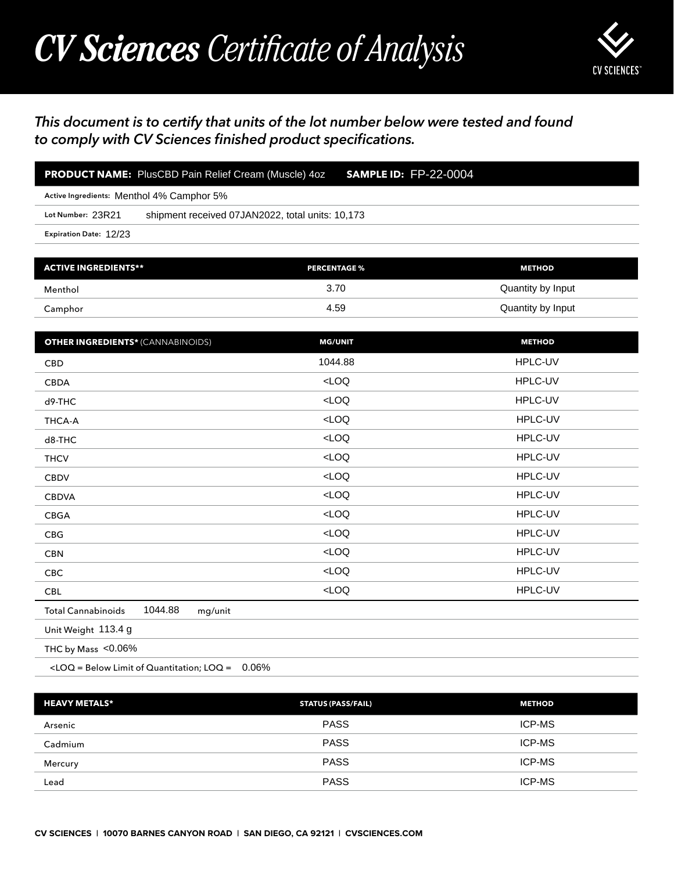## *CV Sciences Certificate of Analysis*



## *This document is to certify that units of the lot number below were tested and found to comply with CV Sciences finished product specifications.*

| PRODUCT NAME: PlusCBD Pain Relief Cream (Muscle) 4oz                                           | <b>SAMPLE ID: FP-22-0004</b>                     |                   |  |  |
|------------------------------------------------------------------------------------------------|--------------------------------------------------|-------------------|--|--|
| Active Ingredients: Menthol 4% Camphor 5%                                                      |                                                  |                   |  |  |
| Lot Number: 23R21                                                                              | shipment received 07JAN2022, total units: 10,173 |                   |  |  |
| Expiration Date: 12/23                                                                         |                                                  |                   |  |  |
|                                                                                                |                                                  |                   |  |  |
| <b>ACTIVE INGREDIENTS**</b>                                                                    | <b>PERCENTAGE %</b>                              | <b>METHOD</b>     |  |  |
| Menthol                                                                                        | 3.70                                             | Quantity by Input |  |  |
| Camphor                                                                                        | 4.59                                             | Quantity by Input |  |  |
|                                                                                                |                                                  |                   |  |  |
| <b>OTHER INGREDIENTS* (CANNABINOIDS)</b>                                                       | <b>MG/UNIT</b>                                   | <b>METHOD</b>     |  |  |
| <b>CBD</b>                                                                                     | 1044.88                                          | HPLC-UV           |  |  |
| <b>CBDA</b>                                                                                    | LOO                                              | HPLC-UV           |  |  |
| d9-THC                                                                                         | LOO                                              | HPLC-UV           |  |  |
| <b>THCA-A</b>                                                                                  | LOO                                              | HPLC-UV           |  |  |
| d8-THC                                                                                         | LOO                                              | HPLC-UV           |  |  |
| <b>THCV</b>                                                                                    | LOO                                              | HPLC-UV           |  |  |
| <b>CBDV</b>                                                                                    | LOO                                              | HPLC-UV           |  |  |
| <b>CBDVA</b>                                                                                   | LOO                                              | HPLC-UV           |  |  |
| <b>CBGA</b>                                                                                    | LOO                                              | HPLC-UV           |  |  |
| CBG                                                                                            | LOO                                              | HPLC-UV           |  |  |
| <b>CBN</b>                                                                                     | LOO                                              | HPLC-UV           |  |  |
| CBC                                                                                            | $<$ LOQ                                          | HPLC-UV           |  |  |
| <b>CBL</b>                                                                                     | $<$ LOQ                                          | HPLC-UV           |  |  |
| 1044.88<br><b>Total Cannabinoids</b><br>mg/unit                                                |                                                  |                   |  |  |
| Unit Weight 113.4 g                                                                            |                                                  |                   |  |  |
| THC by Mass <0.06%                                                                             |                                                  |                   |  |  |
| <loq =="" below="" limit="" loq="0.06%&lt;/td" of="" quantitation;=""><td></td><td></td></loq> |                                                  |                   |  |  |
|                                                                                                |                                                  |                   |  |  |
| <b>HEAVY METALS*</b>                                                                           | <b>STATUS (PASS/FAIL)</b>                        | <b>METHOD</b>     |  |  |
| Arsenic                                                                                        | <b>PASS</b>                                      | ICP-MS            |  |  |
| Cadmium                                                                                        | <b>PASS</b>                                      | ICP-MS            |  |  |
| Mercury                                                                                        | <b>PASS</b>                                      | ICP-MS            |  |  |

| <b>HEAVY METALS*</b> | <b>STATUS (PASS/FAIL)</b> | <b>METHOD</b> |
|----------------------|---------------------------|---------------|
| Arsenic              | <b>PASS</b>               | <b>ICP-MS</b> |
| Cadmium              | <b>PASS</b>               | <b>ICP-MS</b> |
| Mercury              | <b>PASS</b>               | <b>ICP-MS</b> |
| Lead                 | <b>PASS</b>               | <b>ICP-MS</b> |